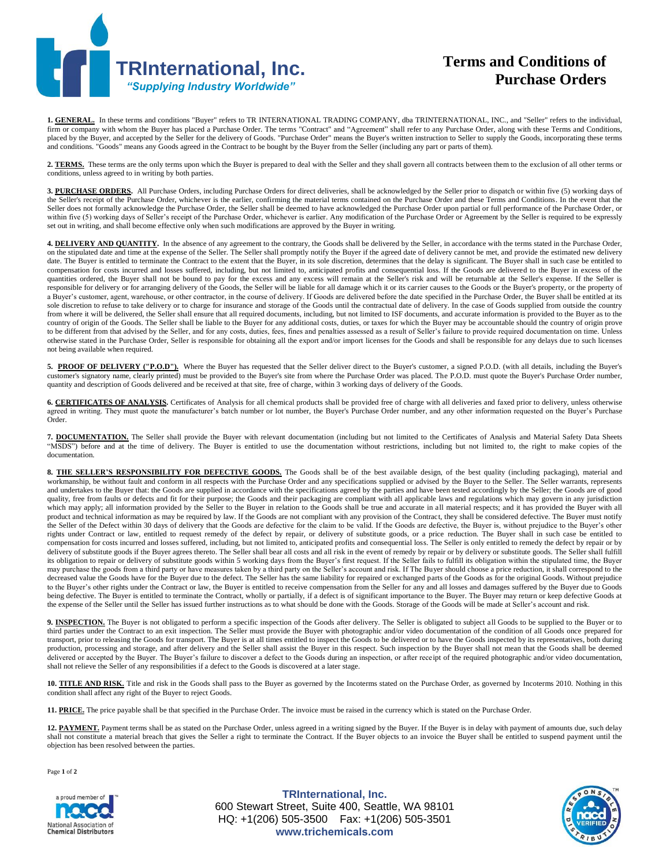

## **Terms and Conditions of Purchase Orders**

**1. GENERAL.** In these terms and conditions "Buyer" refers to TR INTERNATIONAL TRADING COMPANY, dba TRINTERNATIONAL, INC., and "Seller" refers to the individual, firm or company with whom the Buyer has placed a Purchase Order. The terms "Contract" and "Agreement" shall refer to any Purchase Order, along with these Terms and Conditions, placed by the Buyer, and accepted by the Seller for the delivery of Goods. "Purchase Order" means the Buyer's written instruction to Seller to supply the Goods, incorporating these terms and conditions. "Goods" means any Goods agreed in the Contract to be bought by the Buyer from the Seller (including any part or parts of them).

2. TERMS. These terms are the only terms upon which the Buyer is prepared to deal with the Seller and they shall govern all contracts between them to the exclusion of all other terms or conditions, unless agreed to in writing by both parties.

**3. PURCHASE ORDERS.** All Purchase Orders, including Purchase Orders for direct deliveries, shall be acknowledged by the Seller prior to dispatch or within five (5) working days of the Seller's receipt of the Purchase Order, whichever is the earlier, confirming the material terms contained on the Purchase Order and these Terms and Conditions. In the event that the Seller does not formally acknowledge the Purchase Order, the Seller shall be deemed to have acknowledged the Purchase Order upon partial or full performance of the Purchase Order, or within five (5) working days of Seller's receipt of the Purchase Order, whichever is earlier. Any modification of the Purchase Order or Agreement by the Seller is required to be expressly set out in writing, and shall become effective only when such modifications are approved by the Buyer in writing.

**4. DELIVERY AND OUANTITY.** In the absence of any agreement to the contrary, the Goods shall be delivered by the Seller, in accordance with the terms stated in the Purchase Order. on the stipulated date and time at the expense of the Seller. The Seller shall promptly notify the Buyer if the agreed date of delivery cannot be met, and provide the estimated new delivery date. The Buyer is entitled to terminate the Contract to the extent that the Buyer, in its sole discretion, determines that the delay is significant. The Buyer shall in such case be entitled to compensation for costs incurred and losses suffered, including, but not limited to, anticipated profits and consequential loss. If the Goods are delivered to the Buyer in excess of the quantities ordered, the Buyer shall not be bound to pay for the excess and any excess will remain at the Seller's risk and will be returnable at the Seller's expense. If the Seller is responsible for delivery or for arranging delivery of the Goods, the Seller will be liable for all damage which it or its carrier causes to the Goods or the Buyer's property, or the property of a Buyer's customer, agent, warehouse, or other contractor, in the course of delivery. If Goods are delivered before the date specified in the Purchase Order, the Buyer shall be entitled at its sole discretion to refuse to take delivery or to charge for insurance and storage of the Goods until the contractual date of delivery. In the case of Goods supplied from outside the country from where it will be delivered, the Seller shall ensure that all required documents, including, but not limited to ISF documents, and accurate information is provided to the Buyer as to the country of origin of the Goods. The Seller shall be liable to the Buyer for any additional costs, duties, or taxes for which the Buyer may be accountable should the country of origin prove to be different from that advised by the Seller, and for any costs, duties, fees, fines and penalties assessed as a result of Seller's failure to provide required documentation on time. Unless otherwise stated in the Purchase Order, Seller is responsible for obtaining all the export and/or import licenses for the Goods and shall be responsible for any delays due to such licenses not being available when required.

5. PROOF OF DELIVERY ("P.O.D"). Where the Buyer has requested that the Seller deliver direct to the Buyer's customer, a signed P.O.D. (with all details, including the Buyer's customer's signatory name, clearly printed) must be provided to the Buyer's site from where the Purchase Order was placed. The P.O.D. must quote the Buyer's Purchase Order number, quantity and description of Goods delivered and be received at that site, free of charge, within 3 working days of delivery of the Goods.

6. CERTIFICATES OF ANALYSIS. Certificates of Analysis for all chemical products shall be provided free of charge with all deliveries and faxed prior to delivery, unless otherwise agreed in writing. They must quote the manufacturer's batch number or lot number, the Buyer's Purchase Order number, and any other information requested on the Buyer's Purchase Order.

**7. DOCUMENTATION.** The Seller shall provide the Buyer with relevant documentation (including but not limited to the Certificates of Analysis and Material Safety Data Sheets "MSDS") before and at the time of delivery. The Buyer is entitled to use the documentation without restrictions, including but not limited to, the right to make copies of the documentation.

8. THE SELLER'S RESPONSIBILITY FOR DEFECTIVE GOODS. The Goods shall be of the best available design, of the best quality (including packaging), material and workmanship, be without fault and conform in all respects with the Purchase Order and any specifications supplied or advised by the Buyer to the Seller. The Seller warrants, represents and undertakes to the Buyer that: the Goods are supplied in accordance with the specifications agreed by the parties and have been tested accordingly by the Seller; the Goods are of good quality, free from faults or defects and fit for their purpose; the Goods and their packaging are compliant with all applicable laws and regulations which may govern in any jurisdiction which may apply; all information provided by the Seller to the Buyer in relation to the Goods shall be true and accurate in all material respects; and it has provided the Buyer with all product and technical information as may be required by law. If the Goods are not compliant with any provision of the Contract, they shall be considered defective. The Buyer must notify the Seller of the Defect within 30 days of delivery that the Goods are defective for the claim to be valid. If the Goods are defective, the Buyer is, without prejudice to the Buyer's other rights under Contract or law, entitled to request remedy of the defect by repair, or delivery of substitute goods, or a price reduction. The Buyer shall in such case be entitled to compensation for costs incurred and losses suffered, including, but not limited to, anticipated profits and consequential loss. The Seller is only entitled to remedy the defect by repair or by delivery of substitute goods if the Buyer agrees thereto. The Seller shall bear all costs and all risk in the event of remedy by repair or by delivery or substitute goods. The Seller shall fulfill its obligation to repair or delivery of substitute goods within 5 working days from the Buyer's first request. If the Seller fails to fulfill its obligation within the stipulated time, the Buyer may purchase the goods from a third party or have measures taken by a third party on the Seller's account and risk. If The Buyer should choose a price reduction, it shall correspond to the decreased value the Goods have for the Buyer due to the defect. The Seller has the same liability for repaired or exchanged parts of the Goods as for the original Goods. Without prejudice to the Buyer's other rights under the Contract or law, the Buyer is entitled to receive compensation from the Seller for any and all losses and damages suffered by the Buyer due to Goods being defective. The Buyer is entitled to terminate the Contract, wholly or partially, if a defect is of significant importance to the Buyer. The Buyer may return or keep defective Goods at the expense of the Seller until the Seller has issued further instructions as to what should be done with the Goods. Storage of the Goods will be made at Seller's account and risk.

9. INSPECTION. The Buyer is not obligated to perform a specific inspection of the Goods after delivery. The Seller is obligated to subject all Goods to be supplied to the Buyer or to third parties under the Contract to an exit inspection. The Seller must provide the Buyer with photographic and/or video documentation of the condition of all Goods once prepared for transport, prior to releasing the Goods for transport. The Buyer is at all times entitled to inspect the Goods to be delivered or to have the Goods inspected by its representatives, both during production, processing and storage, and after delivery and the Seller shall assist the Buyer in this respect. Such inspection by the Buyer shall not mean that the Goods shall be deemed delivered or accepted by the Buyer. The Buyer's failure to discover a defect to the Goods during an inspection, or after receipt of the required photographic and/or video documentation, shall not relieve the Seller of any responsibilities if a defect to the Goods is discovered at a later stage.

**10. TITLE AND RISK.** Title and risk in the Goods shall pass to the Buyer as governed by the Incoterms stated on the Purchase Order, as governed by Incoterms 2010. Nothing in this condition shall affect any right of the Buyer to reject Goods.

**11. PRICE.** The price payable shall be that specified in the Purchase Order. The invoice must be raised in the currency which is stated on the Purchase Order.

12. PAYMENT. Payment terms shall be as stated on the Purchase Order, unless agreed in a writing signed by the Buyer. If the Buyer is in delay with payment of amounts due, such delay shall not constitute a material breach that gives the Seller a right to terminate the Contract. If the Buyer objects to an invoice the Buyer shall be entitled to suspend payment until the objection has been resolved between the parties.

Page **1** of **2**



**TRInternational, Inc.** 600 Stewart Street, Suite 400, Seattle, WA 98101 HQ: +1(206) 505-3500 Fax: +1(206) 505-3501 **www.trichemicals.com**